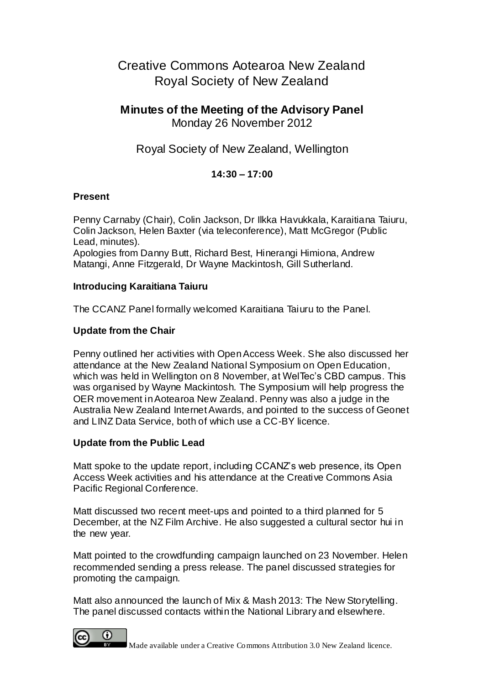# Creative Commons Aotearoa New Zealand Royal Society of New Zealand

# **Minutes of the Meeting of the Advisory Panel** Monday 26 November 2012

# Royal Society of New Zealand, Wellington

# **14:30 – 17:00**

#### **Present**

Penny Carnaby (Chair), Colin Jackson, Dr Ilkka Havukkala, Karaitiana Taiuru, Colin Jackson, Helen Baxter (via teleconference), Matt McGregor (Public Lead, minutes).

Apologies from Danny Butt, Richard Best, Hinerangi Himiona, Andrew Matangi, Anne Fitzgerald, Dr Wayne Mackintosh, Gill Sutherland.

#### **Introducing Karaitiana Taiuru**

The CCANZ Panel formally welcomed Karaitiana Taiuru to the Panel.

### **Update from the Chair**

Penny outlined her activities with Open Access Week. She also discussed her attendance at the New Zealand National Symposium on Open Education, which was held in Wellington on 8 November, at WelTec's CBD campus. This was organised by Wayne Mackintosh. The Symposium will help progress the OER movement in Aotearoa New Zealand. Penny was also a judge in the Australia New Zealand Internet Awards, and pointed to the success of Geonet and LINZ Data Service, both of which use a CC-BY licence.

#### **Update from the Public Lead**

Matt spoke to the update report, including CCANZ's web presence, its Open Access Week activities and his attendance at the Creative Commons Asia Pacific Regional Conference.

Matt discussed two recent meet-ups and pointed to a third planned for 5 December, at the NZ Film Archive. He also suggested a cultural sector hui in the new year.

Matt pointed to the crowdfunding campaign launched on 23 November. Helen recommended sending a press release. The panel discussed strategies for promoting the campaign.

Matt also announced the launch of Mix & Mash 2013: The New Storytelling. The panel discussed contacts within the National Library and elsewhere.